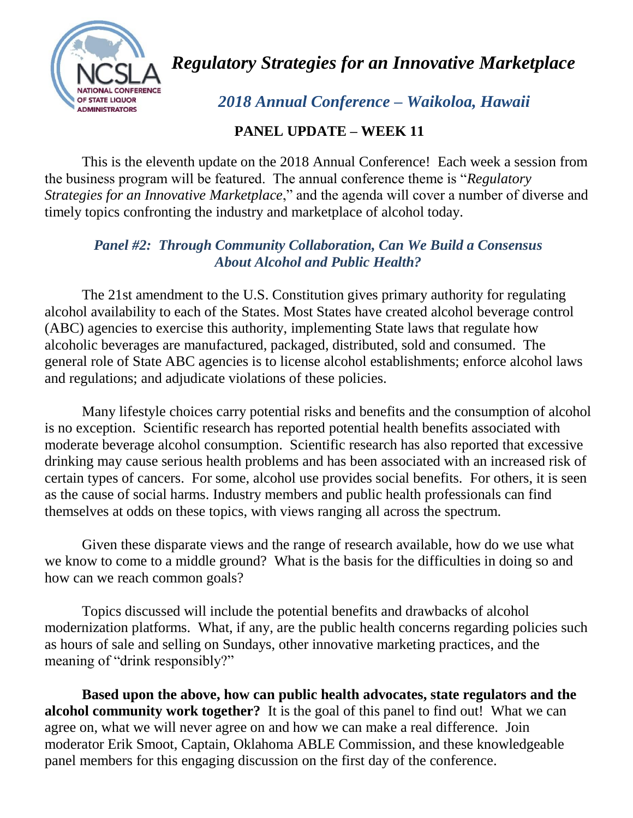

*Regulatory Strategies for an Innovative Marketplace*

 *2018 Annual Conference – Waikoloa, Hawaii*

## **PANEL UPDATE – WEEK 11**

 This is the eleventh update on the 2018 Annual Conference! Each week a session from the business program will be featured. The annual conference theme is "*Regulatory Strategies for an Innovative Marketplace*," and the agenda will cover a number of diverse and timely topics confronting the industry and marketplace of alcohol today.

## *Panel #2: Through Community Collaboration, Can We Build a Consensus About Alcohol and Public Health?*

 The 21st amendment to the U.S. Constitution gives primary authority for regulating alcohol availability to each of the States. Most States have created alcohol beverage control (ABC) agencies to exercise this authority, implementing State laws that regulate how alcoholic beverages are manufactured, packaged, distributed, sold and consumed. The general role of State ABC agencies is to license alcohol establishments; enforce alcohol laws and regulations; and adjudicate violations of these policies.

 Many lifestyle choices carry potential risks and benefits and the consumption of alcohol is no exception. Scientific research has reported potential health benefits associated with moderate beverage alcohol consumption. Scientific research has also reported that excessive drinking may cause serious health problems and has been associated with an increased risk of certain types of cancers. For some, alcohol use provides social benefits. For others, it is seen as the cause of social harms. Industry members and public health professionals can find themselves at odds on these topics, with views ranging all across the spectrum.

 Given these disparate views and the range of research available, how do we use what we know to come to a middle ground? What is the basis for the difficulties in doing so and how can we reach common goals?

Topics discussed will include the potential benefits and drawbacks of alcohol modernization platforms. What, if any, are the public health concerns regarding policies such as hours of sale and selling on Sundays, other innovative marketing practices, and the meaning of "drink responsibly?"

 **Based upon the above, how can public health advocates, state regulators and the alcohol community work together?** It is the goal of this panel to find out! What we can agree on, what we will never agree on and how we can make a real difference. Join moderator Erik Smoot, Captain, Oklahoma ABLE Commission, and these knowledgeable panel members for this engaging discussion on the first day of the conference.